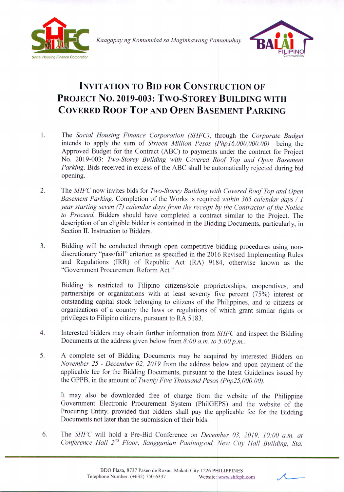

*Kaagapay ng Komunidad sa Maginhawang Pamumuhay*



## **INVITATION TO BID FOR CONSTRUCTION OF PROJECT No. 2019-003: TWO-STOREY BUILDING WITH COVERED ROOF Top AND OPEN BASEMENT PARKING**

- 1. The *Social Housing Finance Corporation (SHFC),* through the *Corporate Budget* intends to apply the sum of *Sixteen Million Pesos (Php16,000,000.00)* being the Approved Budget for the Contract (ABC) to payments under the contract for Project No. 2019-003: *Two-Storey Building with Covered Roof Top and Open Basement Parking.* Bids received in excess of the ABC shall be automatically rejected during bid opening.
- 2. The *SHFC* now invites bids for *Two-Storey Building with Covered Roof Top and Open Basement Parking.* Completion of the Works is required *within* 365 *calendar days /* 1 *year starting seven* (7) *calendar days from the receipt by the Contractor of the Notice to Proceed.* Bidders should have completed a contract similar to the Project. The description of an eligible bidder is contained in the Bidding Documents, particularly, in Section II. Instruction to Bidders.
- 3. Bidding will be conducted through open competitive bidding procedures using nondiscretionary "pass/fail" criterion as specified in the 2016 Revised Implementing Rules and Regulations (IRR) of Republic Act (RA) 9184, otherwise known as the "Government Procurement Reform Act."

Bidding is restricted to Filipino citizens/sole proprietorships, cooperatives, and partnerships or organizations with at least seventy five percent (75%) interest or outstanding capital stock belonging to citizens of the Philippines, and to citizens or organizations of a country the laws or regulations of which grant similar rights or privileges to Filipino citizens, pursuant to RA 5183.

- 4. Interested bidders may obtain further information from *SHFC* and inspect the Bidding Documents at the address given below from *8:00 a.m. to 5:00 p.m ..*
- 5. A complete set of Bidding Documents may be acquired by interested Bidders on *November* 25 - *December 02, 2019* from the address below and upon payment of the applicable fee for the Bidding Documents, pursuant to the latest Guidelines issued by the GPPB, in the amount of *Twenty Five Thousand Pesos (Php25,000.00).*

It may also be downloaded free of charge from the website of the Philippine Government Electronic Procurement System (PhiIGEPS) and the website of the Procuring Entity, provided that bidders shall pay the applicable fee for the Bidding Documents not later than the submission of their bids.

6. The *SHFC* will hold a Pre-Bid Conference on *December 03, 2019, 10:00 a.m. at Conference Hal! 2nd Floor, Sanggunian Panlungsod, New City Hall Building, Sta.*